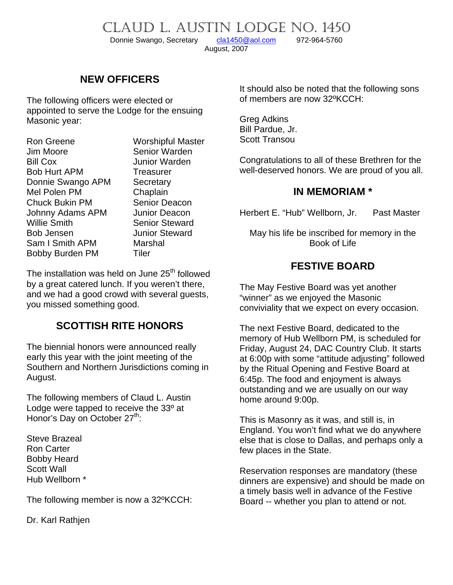CLAUD L. AUSTIN LODGE NO. 1450

Donnie Swango, Secretary [cla1450@aol.com](mailto:cla1450@aol.com) 972-964-5760

August, 2007

## **NEW OFFICERS**

The following officers were elected or appointed to serve the Lodge for the ensuing Masonic year:

| <b>Ron Greene</b>       | <b>Worshipful Master</b> |
|-------------------------|--------------------------|
| Jim Moore               | Senior Warden            |
| <b>Bill Cox</b>         | <b>Junior Warden</b>     |
| <b>Bob Hurt APM</b>     | <b>Treasurer</b>         |
| Donnie Swango APM       | Secretary                |
| Mel Polen PM            | Chaplain                 |
| <b>Chuck Bukin PM</b>   | <b>Senior Deacon</b>     |
| <b>Johnny Adams APM</b> | <b>Junior Deacon</b>     |
| <b>Willie Smith</b>     | <b>Senior Steward</b>    |
| <b>Bob Jensen</b>       | <b>Junior Steward</b>    |
| Sam I Smith APM         | Marshal                  |
| <b>Bobby Burden PM</b>  | Tiler                    |
|                         |                          |

The installation was held on June 25<sup>th</sup> followed by a great catered lunch. If you weren't there, and we had a good crowd with several guests, you missed something good.

#### **SCOTTISH RITE HONORS**

The biennial honors were announced really early this year with the joint meeting of the Southern and Northern Jurisdictions coming in August.

The following members of Claud L. Austin Lodge were tapped to receive the 33º at Honor's Day on October  $27<sup>th</sup>$ :

Steve Brazeal Ron Carter Bobby Heard Scott Wall Hub Wellborn \*

The following member is now a 32ºKCCH:

Dr. Karl Rathjen

It should also be noted that the following sons of members are now 32ºKCCH:

Greg Adkins Bill Pardue, Jr. Scott Transou

Congratulations to all of these Brethren for the well-deserved honors. We are proud of you all.

#### **IN MEMORIAM \***

Herbert E. "Hub" Wellborn, Jr. Past Master

May his life be inscribed for memory in the Book of Life

#### **FESTIVE BOARD**

The May Festive Board was yet another "winner" as we enjoyed the Masonic conviviality that we expect on every occasion.

The next Festive Board, dedicated to the memory of Hub Wellborn PM, is scheduled for Friday, August 24, DAC Country Club. It starts at 6:00p with some "attitude adjusting" followed by the Ritual Opening and Festive Board at 6:45p. The food and enjoyment is always outstanding and we are usually on our way home around 9:00p.

This is Masonry as it was, and still is, in England. You won't find what we do anywhere else that is close to Dallas, and perhaps only a few places in the State.

Reservation responses are mandatory (these dinners are expensive) and should be made on a timely basis well in advance of the Festive Board -- whether you plan to attend or not.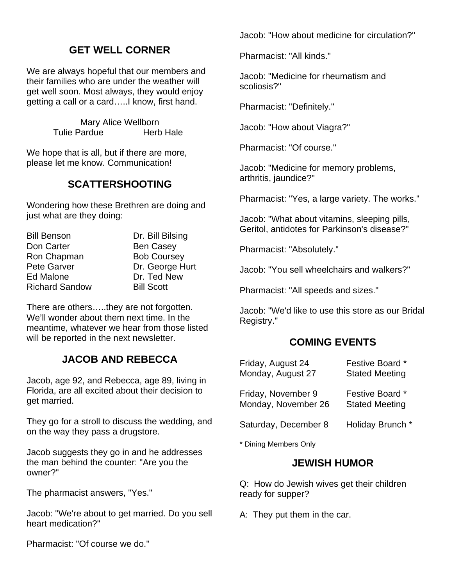## **GET WELL CORNER**

We are always hopeful that our members and their families who are under the weather will get well soon. Most always, they would enjoy getting a call or a card…..I know, first hand.

> Mary Alice Wellborn Tulie Pardue Herb Hale

We hope that is all, but if there are more, please let me know. Communication!

## **SCATTERSHOOTING**

Wondering how these Brethren are doing and just what are they doing:

| <b>Bill Benson</b>    | Dr. Bill Bilsing   |
|-----------------------|--------------------|
| Don Carter            | <b>Ben Casey</b>   |
| Ron Chapman           | <b>Bob Coursey</b> |
| <b>Pete Garver</b>    | Dr. George Hurt    |
| Ed Malone             | Dr. Ted New        |
| <b>Richard Sandow</b> | <b>Bill Scott</b>  |

There are others…..they are not forgotten. We'll wonder about them next time. In the meantime, whatever we hear from those listed will be reported in the next newsletter.

#### **JACOB AND REBECCA**

Jacob, age 92, and Rebecca, age 89, living in Florida, are all excited about their decision to get married.

They go for a stroll to discuss the wedding, and on the way they pass a drugstore.

Jacob suggests they go in and he addresses the man behind the counter: "Are you the owner?"

The pharmacist answers, "Yes."

Jacob: "We're about to get married. Do you sell heart medication?"

Jacob: "How about medicine for circulation?"

Pharmacist: "All kinds."

Jacob: "Medicine for rheumatism and scoliosis?"

Pharmacist: "Definitely."

Jacob: "How about Viagra?"

Pharmacist: "Of course."

Jacob: "Medicine for memory problems, arthritis, jaundice?"

Pharmacist: "Yes, a large variety. The works."

Jacob: "What about vitamins, sleeping pills, Geritol, antidotes for Parkinson's disease?"

Pharmacist: "Absolutely."

Jacob: "You sell wheelchairs and walkers?"

Pharmacist: "All speeds and sizes."

Jacob: "We'd like to use this store as our Bridal Registry."

#### **COMING EVENTS**

| Friday, August 24    | Festive Board *       |
|----------------------|-----------------------|
| Monday, August 27    | <b>Stated Meeting</b> |
| Friday, November 9   | Festive Board *       |
| Monday, November 26  | <b>Stated Meeting</b> |
| Saturday, December 8 | Holiday Brunch *      |

\* Dining Members Only

#### **JEWISH HUMOR**

Q: How do Jewish wives get their children ready for supper?

A: They put them in the car.

Pharmacist: "Of course we do."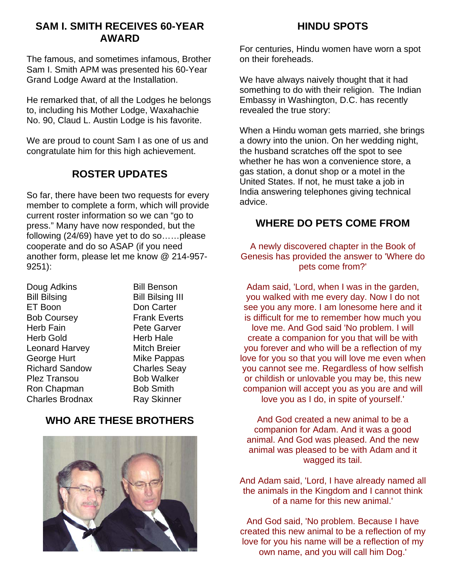#### **SAM I. SMITH RECEIVES 60-YEAR AWARD**

The famous, and sometimes infamous, Brother Sam I. Smith APM was presented his 60-Year Grand Lodge Award at the Installation.

He remarked that, of all the Lodges he belongs to, including his Mother Lodge, Waxahachie No. 90, Claud L. Austin Lodge is his favorite.

We are proud to count Sam I as one of us and congratulate him for this high achievement.

# **ROSTER UPDATES**

So far, there have been two requests for every member to complete a form, which will provide current roster information so we can "go to press." Many have now responded, but the following (24/69) have yet to do so……please cooperate and do so ASAP (if you need another form, please let me know @ 214-957- 9251):

Doug Adkins Bill Benson Bill Bilsing Bill Bilsing III ET Boon Don Carter Bob Coursey Frank Everts Herb Fain Pete Garver Herb Gold Herb Hale Leonard Harvey Mitch Breier George Hurt Mike Pappas Richard Sandow Charles Seay Plez Transou Bob Walker Ron Chapman Bob Smith Charles Brodnax Ray Skinner

# **WHO ARE THESE BROTHERS**



## **HINDU SPOTS**

For centuries, Hindu women have worn a spot on their foreheads.

We have always naively thought that it had something to do with their religion. The Indian Embassy in Washington, D.C. has recently revealed the true story:

When a Hindu woman gets married, she brings a dowry into the union. On her wedding night, the husband scratches off the spot to see whether he has won a convenience store, a gas station, a donut shop or a motel in the United States. If not, he must take a job in India answering telephones giving technical advice.

## **WHERE DO PETS COME FROM**

A newly discovered chapter in the Book of Genesis has provided the answer to 'Where do pets come from?'

Adam said, 'Lord, when I was in the garden, you walked with me every day. Now I do not see you any more. I am lonesome here and it is difficult for me to remember how much you love me. And God said 'No problem. I will create a companion for you that will be with you forever and who will be a reflection of my love for you so that you will love me even when you cannot see me. Regardless of how selfish or childish or unlovable you may be, this new companion will accept you as you are and will love you as I do, in spite of yourself.'

And God created a new animal to be a companion for Adam. And it was a good animal. And God was pleased. And the new animal was pleased to be with Adam and it wagged its tail.

And Adam said, 'Lord, I have already named all the animals in the Kingdom and I cannot think of a name for this new animal.'

And God said, 'No problem. Because I have created this new animal to be a reflection of my love for you his name will be a reflection of my own name, and you will call him Dog.'